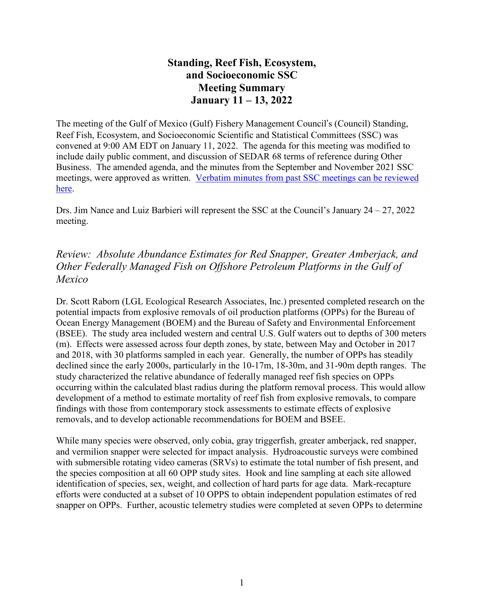# **Standing, Reef Fish, Ecosystem, and Socioeconomic SSC Meeting Summary January 11 – 13, 2022**

The meeting of the Gulf of Mexico (Gulf) Fishery Management Council's (Council) Standing, Reef Fish, Ecosystem, and Socioeconomic Scientific and Statistical Committees (SSC) was convened at 9:00 AM EDT on January 11, 2022. The agenda for this meeting was modified to include daily public comment, and discussion of SEDAR 68 terms of reference during Other Business. The amended agenda, and the minutes from the September and November 2021 SSC meetings, were approved as written. [Verbatim](https://gulfcouncil.org/meetings/ssc/archive/) minutes from past SSC meetings can be reviewed [here.](https://gulfcouncil.org/meetings/ssc/archive/)

Drs. Jim Nance and Luiz Barbieri will represent the SSC at the Council's January  $24 - 27$ ,  $2022$ meeting.

# *Review: Absolute Abundance Estimates for Red Snapper, Greater Amberjack, and Other Federally Managed Fish on Offshore Petroleum Platforms in the Gulf of Mexico*

Dr. Scott Raborn (LGL Ecological Research Associates, Inc.) presented completed research on the potential impacts from explosive removals of oil production platforms (OPPs) for the Bureau of Ocean Energy Management (BOEM) and the Bureau of Safety and Environmental Enforcement (BSEE). The study area included western and central U.S. Gulf waters out to depths of 300 meters (m). Effects were assessed across four depth zones, by state, between May and October in 2017 and 2018, with 30 platforms sampled in each year. Generally, the number of OPPs has steadily declined since the early 2000s, particularly in the 10-17m, 18-30m, and 31-90m depth ranges. The study characterized the relative abundance of federally managed reef fish species on OPPs occurring within the calculated blast radius during the platform removal process. This would allow development of a method to estimate mortality of reef fish from explosive removals, to compare findings with those from contemporary stock assessments to estimate effects of explosive removals, and to develop actionable recommendations for BOEM and BSEE.

While many species were observed, only cobia, gray triggerfish, greater amberjack, red snapper, and vermilion snapper were selected for impact analysis. Hydroacoustic surveys were combined with submersible rotating video cameras (SRVs) to estimate the total number of fish present, and the species composition at all 60 OPP study sites. Hook and line sampling at each site allowed identification of species, sex, weight, and collection of hard parts for age data. Mark-recapture efforts were conducted at a subset of 10 OPPS to obtain independent population estimates of red snapper on OPPs. Further, acoustic telemetry studies were completed at seven OPPs to determine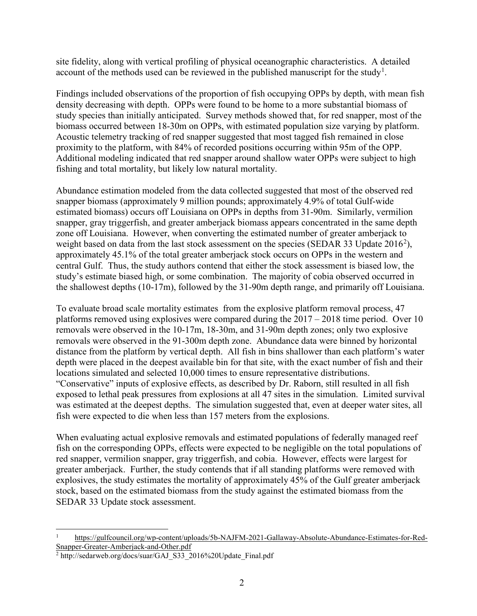site fidelity, along with vertical profiling of physical oceanographic characteristics. A detailed account of the methods used can be reviewed in the published manuscript for the study<sup>[1](#page-1-0)</sup>.

Findings included observations of the proportion of fish occupying OPPs by depth, with mean fish density decreasing with depth. OPPs were found to be home to a more substantial biomass of study species than initially anticipated. Survey methods showed that, for red snapper, most of the biomass occurred between 18-30m on OPPs, with estimated population size varying by platform. Acoustic telemetry tracking of red snapper suggested that most tagged fish remained in close proximity to the platform, with 84% of recorded positions occurring within 95m of the OPP. Additional modeling indicated that red snapper around shallow water OPPs were subject to high fishing and total mortality, but likely low natural mortality.

Abundance estimation modeled from the data collected suggested that most of the observed red snapper biomass (approximately 9 million pounds; approximately 4.9% of total Gulf-wide estimated biomass) occurs off Louisiana on OPPs in depths from 31-90m. Similarly, vermilion snapper, gray triggerfish, and greater amberjack biomass appears concentrated in the same depth zone off Louisiana. However, when converting the estimated number of greater amberjack to weight based on data from the last stock assessment on the species (SEDAR 33 Update [2](#page-1-1)016<sup>2</sup>), approximately 45.1% of the total greater amberjack stock occurs on OPPs in the western and central Gulf. Thus, the study authors contend that either the stock assessment is biased low, the study's estimate biased high, or some combination. The majority of cobia observed occurred in the shallowest depths (10-17m), followed by the 31-90m depth range, and primarily off Louisiana.

To evaluate broad scale mortality estimates from the explosive platform removal process, 47 platforms removed using explosives were compared during the 2017 – 2018 time period. Over 10 removals were observed in the 10-17m, 18-30m, and 31-90m depth zones; only two explosive removals were observed in the 91-300m depth zone. Abundance data were binned by horizontal distance from the platform by vertical depth. All fish in bins shallower than each platform's water depth were placed in the deepest available bin for that site, with the exact number of fish and their locations simulated and selected 10,000 times to ensure representative distributions. "Conservative" inputs of explosive effects, as described by Dr. Raborn, still resulted in all fish exposed to lethal peak pressures from explosions at all 47 sites in the simulation. Limited survival was estimated at the deepest depths. The simulation suggested that, even at deeper water sites, all fish were expected to die when less than 157 meters from the explosions.

When evaluating actual explosive removals and estimated populations of federally managed reef fish on the corresponding OPPs, effects were expected to be negligible on the total populations of red snapper, vermilion snapper, gray triggerfish, and cobia. However, effects were largest for greater amberjack. Further, the study contends that if all standing platforms were removed with explosives, the study estimates the mortality of approximately 45% of the Gulf greater amberjack stock, based on the estimated biomass from the study against the estimated biomass from the SEDAR 33 Update stock assessment.

<span id="page-1-0"></span> <sup>1</sup> [https://gulfcouncil.org/wp-content/uploads/5b-NAJFM-2021-Gallaway-Absolute-Abundance-Estimates-for-Red-](https://gulfcouncil.org/wp-content/uploads/5b-NAJFM-2021-Gallaway-Absolute-Abundance-Estimates-for-Red-Snapper-Greater-Amberjack-and-Other.pdf)[Snapper-Greater-Amberjack-and-Other.pdf](https://gulfcouncil.org/wp-content/uploads/5b-NAJFM-2021-Gallaway-Absolute-Abundance-Estimates-for-Red-Snapper-Greater-Amberjack-and-Other.pdf)

<span id="page-1-1"></span><sup>&</sup>lt;sup>2</sup> http://sedarweb.org/docs/suar/GAJ\_S33\_2016%20Update\_Final.pdf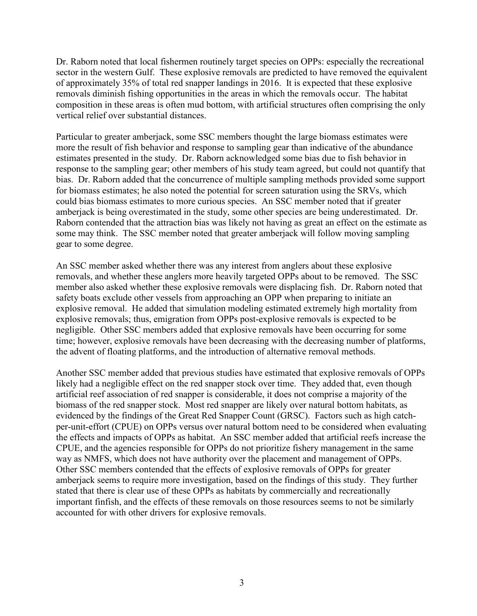Dr. Raborn noted that local fishermen routinely target species on OPPs: especially the recreational sector in the western Gulf. These explosive removals are predicted to have removed the equivalent of approximately 35% of total red snapper landings in 2016. It is expected that these explosive removals diminish fishing opportunities in the areas in which the removals occur. The habitat composition in these areas is often mud bottom, with artificial structures often comprising the only vertical relief over substantial distances.

Particular to greater amberjack, some SSC members thought the large biomass estimates were more the result of fish behavior and response to sampling gear than indicative of the abundance estimates presented in the study. Dr. Raborn acknowledged some bias due to fish behavior in response to the sampling gear; other members of his study team agreed, but could not quantify that bias. Dr. Raborn added that the concurrence of multiple sampling methods provided some support for biomass estimates; he also noted the potential for screen saturation using the SRVs, which could bias biomass estimates to more curious species. An SSC member noted that if greater amberjack is being overestimated in the study, some other species are being underestimated. Dr. Raborn contended that the attraction bias was likely not having as great an effect on the estimate as some may think. The SSC member noted that greater amberjack will follow moving sampling gear to some degree.

An SSC member asked whether there was any interest from anglers about these explosive removals, and whether these anglers more heavily targeted OPPs about to be removed. The SSC member also asked whether these explosive removals were displacing fish. Dr. Raborn noted that safety boats exclude other vessels from approaching an OPP when preparing to initiate an explosive removal. He added that simulation modeling estimated extremely high mortality from explosive removals; thus, emigration from OPPs post-explosive removals is expected to be negligible. Other SSC members added that explosive removals have been occurring for some time; however, explosive removals have been decreasing with the decreasing number of platforms, the advent of floating platforms, and the introduction of alternative removal methods.

Another SSC member added that previous studies have estimated that explosive removals of OPPs likely had a negligible effect on the red snapper stock over time. They added that, even though artificial reef association of red snapper is considerable, it does not comprise a majority of the biomass of the red snapper stock. Most red snapper are likely over natural bottom habitats, as evidenced by the findings of the Great Red Snapper Count (GRSC). Factors such as high catchper-unit-effort (CPUE) on OPPs versus over natural bottom need to be considered when evaluating the effects and impacts of OPPs as habitat. An SSC member added that artificial reefs increase the CPUE, and the agencies responsible for OPPs do not prioritize fishery management in the same way as NMFS, which does not have authority over the placement and management of OPPs. Other SSC members contended that the effects of explosive removals of OPPs for greater amberjack seems to require more investigation, based on the findings of this study. They further stated that there is clear use of these OPPs as habitats by commercially and recreationally important finfish, and the effects of these removals on those resources seems to not be similarly accounted for with other drivers for explosive removals.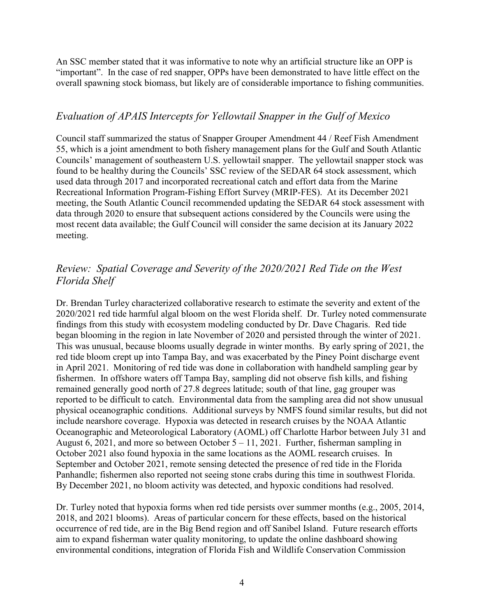An SSC member stated that it was informative to note why an artificial structure like an OPP is "important". In the case of red snapper, OPPs have been demonstrated to have little effect on the overall spawning stock biomass, but likely are of considerable importance to fishing communities.

## *Evaluation of APAIS Intercepts for Yellowtail Snapper in the Gulf of Mexico*

Council staff summarized the status of Snapper Grouper Amendment 44 / Reef Fish Amendment 55, which is a joint amendment to both fishery management plans for the Gulf and South Atlantic Councils' management of southeastern U.S. yellowtail snapper. The yellowtail snapper stock was found to be healthy during the Councils' SSC review of the SEDAR 64 stock assessment, which used data through 2017 and incorporated recreational catch and effort data from the Marine Recreational Information Program-Fishing Effort Survey (MRIP-FES). At its December 2021 meeting, the South Atlantic Council recommended updating the SEDAR 64 stock assessment with data through 2020 to ensure that subsequent actions considered by the Councils were using the most recent data available; the Gulf Council will consider the same decision at its January 2022 meeting.

# *Review: Spatial Coverage and Severity of the 2020/2021 Red Tide on the West Florida Shelf*

Dr. Brendan Turley characterized collaborative research to estimate the severity and extent of the 2020/2021 red tide harmful algal bloom on the west Florida shelf. Dr. Turley noted commensurate findings from this study with ecosystem modeling conducted by Dr. Dave Chagaris. Red tide began blooming in the region in late November of 2020 and persisted through the winter of 2021. This was unusual, because blooms usually degrade in winter months. By early spring of 2021, the red tide bloom crept up into Tampa Bay, and was exacerbated by the Piney Point discharge event in April 2021. Monitoring of red tide was done in collaboration with handheld sampling gear by fishermen. In offshore waters off Tampa Bay, sampling did not observe fish kills, and fishing remained generally good north of 27.8 degrees latitude; south of that line, gag grouper was reported to be difficult to catch. Environmental data from the sampling area did not show unusual physical oceanographic conditions. Additional surveys by NMFS found similar results, but did not include nearshore coverage. Hypoxia was detected in research cruises by the NOAA Atlantic Oceanographic and Meteorological Laboratory (AOML) off Charlotte Harbor between July 31 and August 6, 2021, and more so between October 5 – 11, 2021. Further, fisherman sampling in October 2021 also found hypoxia in the same locations as the AOML research cruises. In September and October 2021, remote sensing detected the presence of red tide in the Florida Panhandle; fishermen also reported not seeing stone crabs during this time in southwest Florida. By December 2021, no bloom activity was detected, and hypoxic conditions had resolved.

Dr. Turley noted that hypoxia forms when red tide persists over summer months (e.g., 2005, 2014, 2018, and 2021 blooms). Areas of particular concern for these effects, based on the historical occurrence of red tide, are in the Big Bend region and off Sanibel Island. Future research efforts aim to expand fisherman water quality monitoring, to update the online dashboard showing environmental conditions, integration of Florida Fish and Wildlife Conservation Commission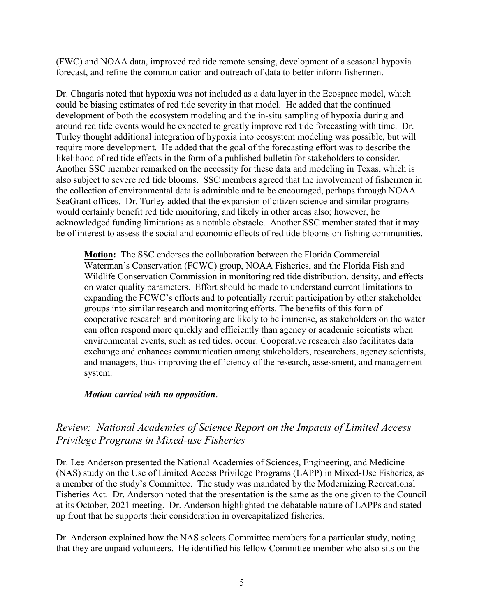(FWC) and NOAA data, improved red tide remote sensing, development of a seasonal hypoxia forecast, and refine the communication and outreach of data to better inform fishermen.

Dr. Chagaris noted that hypoxia was not included as a data layer in the Ecospace model, which could be biasing estimates of red tide severity in that model. He added that the continued development of both the ecosystem modeling and the in-situ sampling of hypoxia during and around red tide events would be expected to greatly improve red tide forecasting with time. Dr. Turley thought additional integration of hypoxia into ecosystem modeling was possible, but will require more development. He added that the goal of the forecasting effort was to describe the likelihood of red tide effects in the form of a published bulletin for stakeholders to consider. Another SSC member remarked on the necessity for these data and modeling in Texas, which is also subject to severe red tide blooms. SSC members agreed that the involvement of fishermen in the collection of environmental data is admirable and to be encouraged, perhaps through NOAA SeaGrant offices. Dr. Turley added that the expansion of citizen science and similar programs would certainly benefit red tide monitoring, and likely in other areas also; however, he acknowledged funding limitations as a notable obstacle. Another SSC member stated that it may be of interest to assess the social and economic effects of red tide blooms on fishing communities.

**Motion:** The SSC endorses the collaboration between the Florida Commercial Waterman's Conservation (FCWC) group, NOAA Fisheries, and the Florida Fish and Wildlife Conservation Commission in monitoring red tide distribution, density, and effects on water quality parameters. Effort should be made to understand current limitations to expanding the FCWC's efforts and to potentially recruit participation by other stakeholder groups into similar research and monitoring efforts. The benefits of this form of cooperative research and monitoring are likely to be immense, as stakeholders on the water can often respond more quickly and efficiently than agency or academic scientists when environmental events, such as red tides, occur. Cooperative research also facilitates data exchange and enhances communication among stakeholders, researchers, agency scientists, and managers, thus improving the efficiency of the research, assessment, and management system.

## *Motion carried with no opposition*.

## *Review: National Academies of Science Report on the Impacts of Limited Access Privilege Programs in Mixed-use Fisheries*

Dr. Lee Anderson presented the National Academies of Sciences, Engineering, and Medicine (NAS) study on the Use of Limited Access Privilege Programs (LAPP) in Mixed-Use Fisheries, as a member of the study's Committee. The study was mandated by the Modernizing Recreational Fisheries Act. Dr. Anderson noted that the presentation is the same as the one given to the Council at its October, 2021 meeting. Dr. Anderson highlighted the debatable nature of LAPPs and stated up front that he supports their consideration in overcapitalized fisheries.

Dr. Anderson explained how the NAS selects Committee members for a particular study, noting that they are unpaid volunteers. He identified his fellow Committee member who also sits on the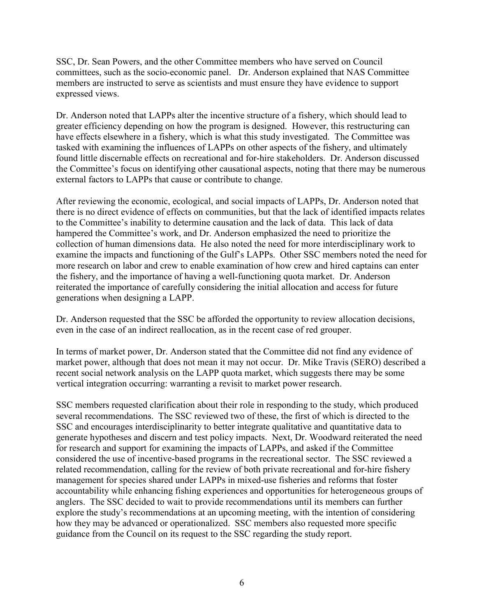SSC, Dr. Sean Powers, and the other Committee members who have served on Council committees, such as the socio-economic panel. Dr. Anderson explained that NAS Committee members are instructed to serve as scientists and must ensure they have evidence to support expressed views.

Dr. Anderson noted that LAPPs alter the incentive structure of a fishery, which should lead to greater efficiency depending on how the program is designed. However, this restructuring can have effects elsewhere in a fishery, which is what this study investigated. The Committee was tasked with examining the influences of LAPPs on other aspects of the fishery, and ultimately found little discernable effects on recreational and for-hire stakeholders. Dr. Anderson discussed the Committee's focus on identifying other causational aspects, noting that there may be numerous external factors to LAPPs that cause or contribute to change.

After reviewing the economic, ecological, and social impacts of LAPPs, Dr. Anderson noted that there is no direct evidence of effects on communities, but that the lack of identified impacts relates to the Committee's inability to determine causation and the lack of data. This lack of data hampered the Committee's work, and Dr. Anderson emphasized the need to prioritize the collection of human dimensions data. He also noted the need for more interdisciplinary work to examine the impacts and functioning of the Gulf's LAPPs. Other SSC members noted the need for more research on labor and crew to enable examination of how crew and hired captains can enter the fishery, and the importance of having a well-functioning quota market. Dr. Anderson reiterated the importance of carefully considering the initial allocation and access for future generations when designing a LAPP.

Dr. Anderson requested that the SSC be afforded the opportunity to review allocation decisions, even in the case of an indirect reallocation, as in the recent case of red grouper.

In terms of market power, Dr. Anderson stated that the Committee did not find any evidence of market power, although that does not mean it may not occur. Dr. Mike Travis (SERO) described a recent social network analysis on the LAPP quota market, which suggests there may be some vertical integration occurring: warranting a revisit to market power research.

SSC members requested clarification about their role in responding to the study, which produced several recommendations. The SSC reviewed two of these, the first of which is directed to the SSC and encourages interdisciplinarity to better integrate qualitative and quantitative data to generate hypotheses and discern and test policy impacts. Next, Dr. Woodward reiterated the need for research and support for examining the impacts of LAPPs, and asked if the Committee considered the use of incentive-based programs in the recreational sector. The SSC reviewed a related recommendation, calling for the review of both private recreational and for-hire fishery management for species shared under LAPPs in mixed-use fisheries and reforms that foster accountability while enhancing fishing experiences and opportunities for heterogeneous groups of anglers. The SSC decided to wait to provide recommendations until its members can further explore the study's recommendations at an upcoming meeting, with the intention of considering how they may be advanced or operationalized. SSC members also requested more specific guidance from the Council on its request to the SSC regarding the study report.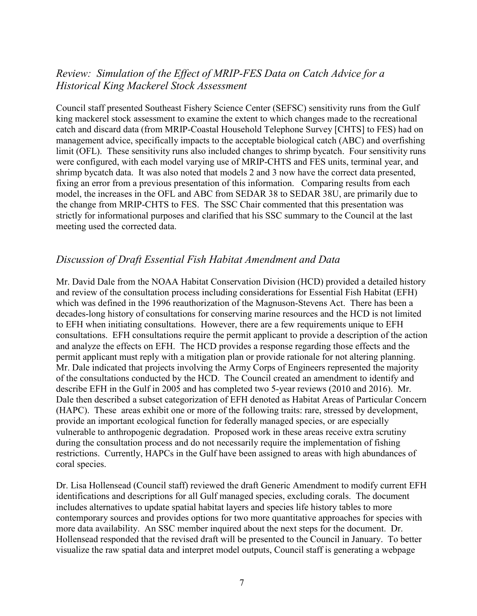## *Review: Simulation of the Effect of MRIP-FES Data on Catch Advice for a Historical King Mackerel Stock Assessment*

Council staff presented Southeast Fishery Science Center (SEFSC) sensitivity runs from the Gulf king mackerel stock assessment to examine the extent to which changes made to the recreational catch and discard data (from MRIP-Coastal Household Telephone Survey [CHTS] to FES) had on management advice, specifically impacts to the acceptable biological catch (ABC) and overfishing limit (OFL). These sensitivity runs also included changes to shrimp bycatch. Four sensitivity runs were configured, with each model varying use of MRIP-CHTS and FES units, terminal year, and shrimp bycatch data. It was also noted that models 2 and 3 now have the correct data presented, fixing an error from a previous presentation of this information. Comparing results from each model, the increases in the OFL and ABC from SEDAR 38 to SEDAR 38U, are primarily due to the change from MRIP-CHTS to FES. The SSC Chair commented that this presentation was strictly for informational purposes and clarified that his SSC summary to the Council at the last meeting used the corrected data.

## *Discussion of Draft Essential Fish Habitat Amendment and Data*

Mr. David Dale from the NOAA Habitat Conservation Division (HCD) provided a detailed history and review of the consultation process including considerations for Essential Fish Habitat (EFH) which was defined in the 1996 reauthorization of the Magnuson-Stevens Act. There has been a decades-long history of consultations for conserving marine resources and the HCD is not limited to EFH when initiating consultations. However, there are a few requirements unique to EFH consultations. EFH consultations require the permit applicant to provide a description of the action and analyze the effects on EFH. The HCD provides a response regarding those effects and the permit applicant must reply with a mitigation plan or provide rationale for not altering planning. Mr. Dale indicated that projects involving the Army Corps of Engineers represented the majority of the consultations conducted by the HCD. The Council created an amendment to identify and describe EFH in the Gulf in 2005 and has completed two 5-year reviews (2010 and 2016). Mr. Dale then described a subset categorization of EFH denoted as Habitat Areas of Particular Concern (HAPC). These areas exhibit one or more of the following traits: rare, stressed by development, provide an important ecological function for federally managed species, or are especially vulnerable to anthropogenic degradation. Proposed work in these areas receive extra scrutiny during the consultation process and do not necessarily require the implementation of fishing restrictions. Currently, HAPCs in the Gulf have been assigned to areas with high abundances of coral species.

Dr. Lisa Hollensead (Council staff) reviewed the draft Generic Amendment to modify current EFH identifications and descriptions for all Gulf managed species, excluding corals. The document includes alternatives to update spatial habitat layers and species life history tables to more contemporary sources and provides options for two more quantitative approaches for species with more data availability. An SSC member inquired about the next steps for the document. Dr. Hollensead responded that the revised draft will be presented to the Council in January. To better visualize the raw spatial data and interpret model outputs, Council staff is generating a webpage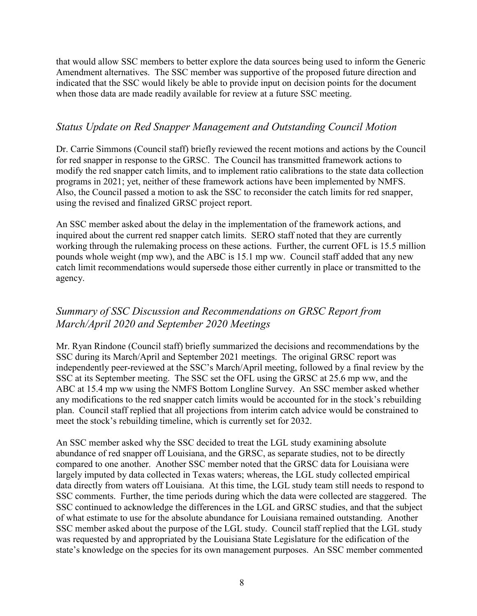that would allow SSC members to better explore the data sources being used to inform the Generic Amendment alternatives. The SSC member was supportive of the proposed future direction and indicated that the SSC would likely be able to provide input on decision points for the document when those data are made readily available for review at a future SSC meeting.

## *Status Update on Red Snapper Management and Outstanding Council Motion*

Dr. Carrie Simmons (Council staff) briefly reviewed the recent motions and actions by the Council for red snapper in response to the GRSC. The Council has transmitted framework actions to modify the red snapper catch limits, and to implement ratio calibrations to the state data collection programs in 2021; yet, neither of these framework actions have been implemented by NMFS. Also, the Council passed a motion to ask the SSC to reconsider the catch limits for red snapper, using the revised and finalized GRSC project report.

An SSC member asked about the delay in the implementation of the framework actions, and inquired about the current red snapper catch limits. SERO staff noted that they are currently working through the rulemaking process on these actions. Further, the current OFL is 15.5 million pounds whole weight (mp ww), and the ABC is 15.1 mp ww. Council staff added that any new catch limit recommendations would supersede those either currently in place or transmitted to the agency.

## *Summary of SSC Discussion and Recommendations on GRSC Report from March/April 2020 and September 2020 Meetings*

Mr. Ryan Rindone (Council staff) briefly summarized the decisions and recommendations by the SSC during its March/April and September 2021 meetings. The original GRSC report was independently peer-reviewed at the SSC's March/April meeting, followed by a final review by the SSC at its September meeting. The SSC set the OFL using the GRSC at 25.6 mp ww, and the ABC at 15.4 mp ww using the NMFS Bottom Longline Survey. An SSC member asked whether any modifications to the red snapper catch limits would be accounted for in the stock's rebuilding plan. Council staff replied that all projections from interim catch advice would be constrained to meet the stock's rebuilding timeline, which is currently set for 2032.

An SSC member asked why the SSC decided to treat the LGL study examining absolute abundance of red snapper off Louisiana, and the GRSC, as separate studies, not to be directly compared to one another. Another SSC member noted that the GRSC data for Louisiana were largely imputed by data collected in Texas waters; whereas, the LGL study collected empirical data directly from waters off Louisiana. At this time, the LGL study team still needs to respond to SSC comments. Further, the time periods during which the data were collected are staggered. The SSC continued to acknowledge the differences in the LGL and GRSC studies, and that the subject of what estimate to use for the absolute abundance for Louisiana remained outstanding. Another SSC member asked about the purpose of the LGL study. Council staff replied that the LGL study was requested by and appropriated by the Louisiana State Legislature for the edification of the state's knowledge on the species for its own management purposes. An SSC member commented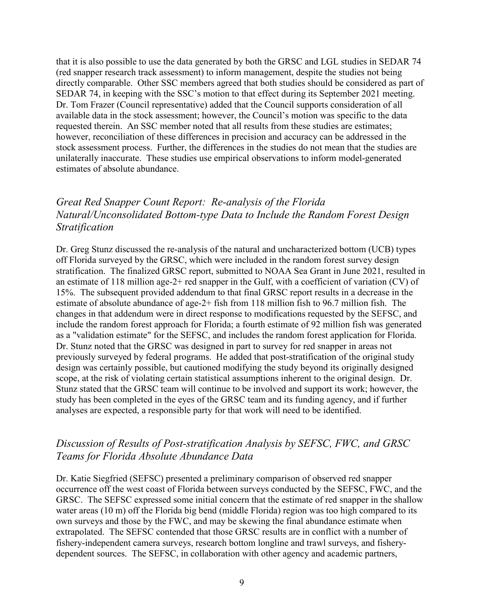that it is also possible to use the data generated by both the GRSC and LGL studies in SEDAR 74 (red snapper research track assessment) to inform management, despite the studies not being directly comparable. Other SSC members agreed that both studies should be considered as part of SEDAR 74, in keeping with the SSC's motion to that effect during its September 2021 meeting. Dr. Tom Frazer (Council representative) added that the Council supports consideration of all available data in the stock assessment; however, the Council's motion was specific to the data requested therein. An SSC member noted that all results from these studies are estimates; however, reconciliation of these differences in precision and accuracy can be addressed in the stock assessment process. Further, the differences in the studies do not mean that the studies are unilaterally inaccurate. These studies use empirical observations to inform model-generated estimates of absolute abundance.

# *Great Red Snapper Count Report: Re-analysis of the Florida Natural/Unconsolidated Bottom-type Data to Include the Random Forest Design Stratification*

Dr. Greg Stunz discussed the re-analysis of the natural and uncharacterized bottom (UCB) types off Florida surveyed by the GRSC, which were included in the random forest survey design stratification. The finalized GRSC report, submitted to NOAA Sea Grant in June 2021, resulted in an estimate of 118 million age-2+ red snapper in the Gulf, with a coefficient of variation (CV) of 15%. The subsequent provided addendum to that final GRSC report results in a decrease in the estimate of absolute abundance of age-2+ fish from 118 million fish to 96.7 million fish. The changes in that addendum were in direct response to modifications requested by the SEFSC, and include the random forest approach for Florida; a fourth estimate of 92 million fish was generated as a "validation estimate" for the SEFSC, and includes the random forest application for Florida. Dr. Stunz noted that the GRSC was designed in part to survey for red snapper in areas not previously surveyed by federal programs. He added that post-stratification of the original study design was certainly possible, but cautioned modifying the study beyond its originally designed scope, at the risk of violating certain statistical assumptions inherent to the original design. Dr. Stunz stated that the GRSC team will continue to be involved and support its work; however, the study has been completed in the eyes of the GRSC team and its funding agency, and if further analyses are expected, a responsible party for that work will need to be identified.

## *Discussion of Results of Post-stratification Analysis by SEFSC, FWC, and GRSC Teams for Florida Absolute Abundance Data*

Dr. Katie Siegfried (SEFSC) presented a preliminary comparison of observed red snapper occurrence off the west coast of Florida between surveys conducted by the SEFSC, FWC, and the GRSC. The SEFSC expressed some initial concern that the estimate of red snapper in the shallow water areas (10 m) off the Florida big bend (middle Florida) region was too high compared to its own surveys and those by the FWC, and may be skewing the final abundance estimate when extrapolated. The SEFSC contended that those GRSC results are in conflict with a number of fishery-independent camera surveys, research bottom longline and trawl surveys, and fisherydependent sources. The SEFSC, in collaboration with other agency and academic partners,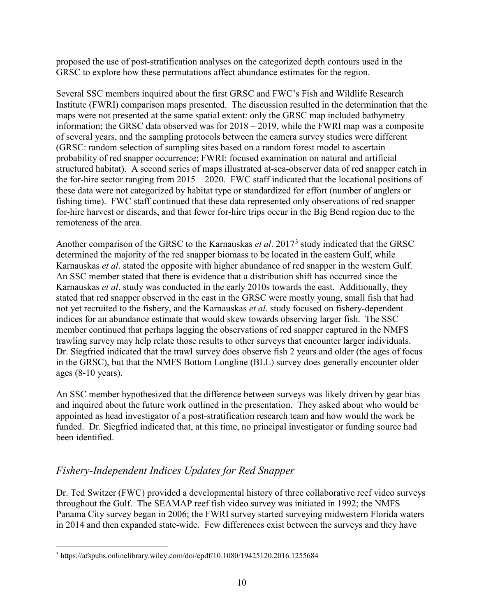proposed the use of post-stratification analyses on the categorized depth contours used in the GRSC to explore how these permutations affect abundance estimates for the region.

Several SSC members inquired about the first GRSC and FWC's Fish and Wildlife Research Institute (FWRI) comparison maps presented. The discussion resulted in the determination that the maps were not presented at the same spatial extent: only the GRSC map included bathymetry information; the GRSC data observed was for 2018 – 2019, while the FWRI map was a composite of several years, and the sampling protocols between the camera survey studies were different (GRSC: random selection of sampling sites based on a random forest model to ascertain probability of red snapper occurrence; FWRI: focused examination on natural and artificial structured habitat). A second series of maps illustrated at-sea-observer data of red snapper catch in the for-hire sector ranging from 2015 – 2020. FWC staff indicated that the locational positions of these data were not categorized by habitat type or standardized for effort (number of anglers or fishing time). FWC staff continued that these data represented only observations of red snapper for-hire harvest or discards, and that fewer for-hire trips occur in the Big Bend region due to the remoteness of the area.

Another comparison of the GRSC to the Karnauskas *et al*. 2017[3](#page-9-0) study indicated that the GRSC determined the majority of the red snapper biomass to be located in the eastern Gulf, while Karnauskas *et al*. stated the opposite with higher abundance of red snapper in the western Gulf. An SSC member stated that there is evidence that a distribution shift has occurred since the Karnauskas *et al*. study was conducted in the early 2010s towards the east. Additionally, they stated that red snapper observed in the east in the GRSC were mostly young, small fish that had not yet recruited to the fishery, and the Karnauskas *et al*. study focused on fishery-dependent indices for an abundance estimate that would skew towards observing larger fish. The SSC member continued that perhaps lagging the observations of red snapper captured in the NMFS trawling survey may help relate those results to other surveys that encounter larger individuals. Dr. Siegfried indicated that the trawl survey does observe fish 2 years and older (the ages of focus in the GRSC), but that the NMFS Bottom Longline (BLL) survey does generally encounter older ages (8-10 years).

An SSC member hypothesized that the difference between surveys was likely driven by gear bias and inquired about the future work outlined in the presentation. They asked about who would be appointed as head investigator of a post-stratification research team and how would the work be funded. Dr. Siegfried indicated that, at this time, no principal investigator or funding source had been identified.

## *Fishery-Independent Indices Updates for Red Snapper*

Dr. Ted Switzer (FWC) provided a developmental history of three collaborative reef video surveys throughout the Gulf. The SEAMAP reef fish video survey was initiated in 1992; the NMFS Panama City survey began in 2006; the FWRI survey started surveying midwestern Florida waters in 2014 and then expanded state-wide. Few differences exist between the surveys and they have

<span id="page-9-0"></span> <sup>3</sup> https://afspubs.onlinelibrary.wiley.com/doi/epdf/10.1080/19425120.2016.1255684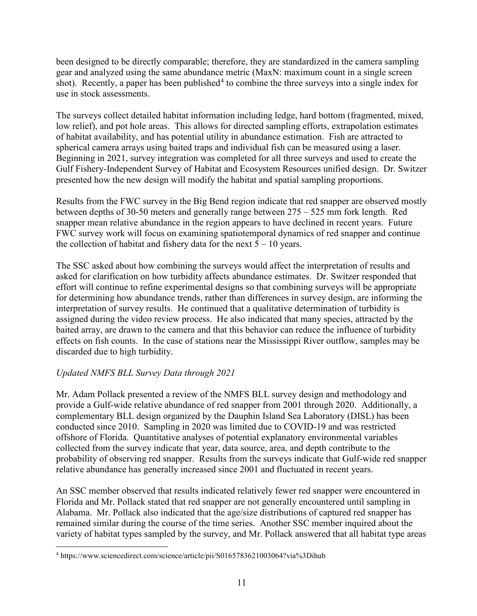been designed to be directly comparable; therefore, they are standardized in the camera sampling gear and analyzed using the same abundance metric (MaxN: maximum count in a single screen shot). Recently, a paper has been published<sup>[4](#page-10-0)</sup> to combine the three surveys into a single index for use in stock assessments.

The surveys collect detailed habitat information including ledge, hard bottom (fragmented, mixed, low relief), and pot hole areas. This allows for directed sampling efforts, extrapolation estimates of habitat availability, and has potential utility in abundance estimation. Fish are attracted to spherical camera arrays using baited traps and individual fish can be measured using a laser. Beginning in 2021, survey integration was completed for all three surveys and used to create the Gulf Fishery-Independent Survey of Habitat and Ecosystem Resources unified design. Dr. Switzer presented how the new design will modify the habitat and spatial sampling proportions.

Results from the FWC survey in the Big Bend region indicate that red snapper are observed mostly between depths of 30-50 meters and generally range between 275 – 525 mm fork length. Red snapper mean relative abundance in the region appears to have declined in recent years. Future FWC survey work will focus on examining spatiotemporal dynamics of red snapper and continue the collection of habitat and fishery data for the next  $5 - 10$  years.

The SSC asked about how combining the surveys would affect the interpretation of results and asked for clarification on how turbidity affects abundance estimates. Dr. Switzer responded that effort will continue to refine experimental designs so that combining surveys will be appropriate for determining how abundance trends, rather than differences in survey design, are informing the interpretation of survey results. He continued that a qualitative determination of turbidity is assigned during the video review process. He also indicated that many species, attracted by the baited array, are drawn to the camera and that this behavior can reduce the influence of turbidity effects on fish counts. In the case of stations near the Mississippi River outflow, samples may be discarded due to high turbidity.

## *Updated NMFS BLL Survey Data through 2021*

Mr. Adam Pollack presented a review of the NMFS BLL survey design and methodology and provide a Gulf-wide relative abundance of red snapper from 2001 through 2020. Additionally, a complementary BLL design organized by the Dauphin Island Sea Laboratory (DISL) has been conducted since 2010. Sampling in 2020 was limited due to COVID-19 and was restricted offshore of Florida. Quantitative analyses of potential explanatory environmental variables collected from the survey indicate that year, data source, area, and depth contribute to the probability of observing red snapper. Results from the surveys indicate that Gulf-wide red snapper relative abundance has generally increased since 2001 and fluctuated in recent years.

An SSC member observed that results indicated relatively fewer red snapper were encountered in Florida and Mr. Pollack stated that red snapper are not generally encountered until sampling in Alabama. Mr. Pollack also indicated that the age/size distributions of captured red snapper has remained similar during the course of the time series. Another SSC member inquired about the variety of habitat types sampled by the survey, and Mr. Pollack answered that all habitat type areas

<span id="page-10-0"></span> <sup>4</sup> https://www.sciencedirect.com/science/article/pii/S0165783621003064?via%3Dihub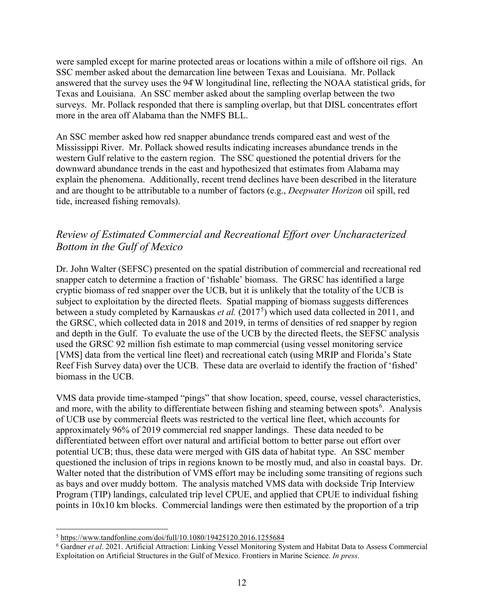were sampled except for marine protected areas or locations within a mile of offshore oil rigs. An SSC member asked about the demarcation line between Texas and Louisiana. Mr. Pollack answered that the survey uses the 94̊W longitudinal line, reflecting the NOAA statistical grids, for Texas and Louisiana. An SSC member asked about the sampling overlap between the two surveys. Mr. Pollack responded that there is sampling overlap, but that DISL concentrates effort more in the area off Alabama than the NMFS BLL.

An SSC member asked how red snapper abundance trends compared east and west of the Mississippi River. Mr. Pollack showed results indicating increases abundance trends in the western Gulf relative to the eastern region. The SSC questioned the potential drivers for the downward abundance trends in the east and hypothesized that estimates from Alabama may explain the phenomena. Additionally, recent trend declines have been described in the literature and are thought to be attributable to a number of factors (e.g., *Deepwater Horizon* oil spill, red tide, increased fishing removals).

## *Review of Estimated Commercial and Recreational Effort over Uncharacterized Bottom in the Gulf of Mexico*

Dr. John Walter (SEFSC) presented on the spatial distribution of commercial and recreational red snapper catch to determine a fraction of 'fishable' biomass. The GRSC has identified a large cryptic biomass of red snapper over the UCB, but it is unlikely that the totality of the UCB is subject to exploitation by the directed fleets. Spatial mapping of biomass suggests differences between a study completed by Karnauskas *et al.* (2017[5](#page-11-0) ) which used data collected in 2011, and the GRSC, which collected data in 2018 and 2019, in terms of densities of red snapper by region and depth in the Gulf. To evaluate the use of the UCB by the directed fleets, the SEFSC analysis used the GRSC 92 million fish estimate to map commercial (using vessel monitoring service [VMS] data from the vertical line fleet) and recreational catch (using MRIP and Florida's State Reef Fish Survey data) over the UCB. These data are overlaid to identify the fraction of 'fished' biomass in the UCB.

VMS data provide time-stamped "pings" that show location, speed, course, vessel characteristics, and more, with the ability to differentiate between fishing and steaming between spots<sup>[6](#page-11-1)</sup>. Analysis of UCB use by commercial fleets was restricted to the vertical line fleet, which accounts for approximately 96% of 2019 commercial red snapper landings. These data needed to be differentiated between effort over natural and artificial bottom to better parse out effort over potential UCB; thus, these data were merged with GIS data of habitat type. An SSC member questioned the inclusion of trips in regions known to be mostly mud, and also in coastal bays. Dr. Walter noted that the distribution of VMS effort may be including some transiting of regions such as bays and over muddy bottom. The analysis matched VMS data with dockside Trip Interview Program (TIP) landings, calculated trip level CPUE, and applied that CPUE to individual fishing points in 10x10 km blocks. Commercial landings were then estimated by the proportion of a trip

<span id="page-11-0"></span> <sup>5</sup> <https://www.tandfonline.com/doi/full/10.1080/19425120.2016.1255684>

<span id="page-11-1"></span><sup>6</sup> Gardner *et al*. 2021. Artificial Attraction: Linking Vessel Monitoring System and Habitat Data to Assess Commercial Exploitation on Artificial Structures in the Gulf of Mexico. Frontiers in Marine Science. *In press*.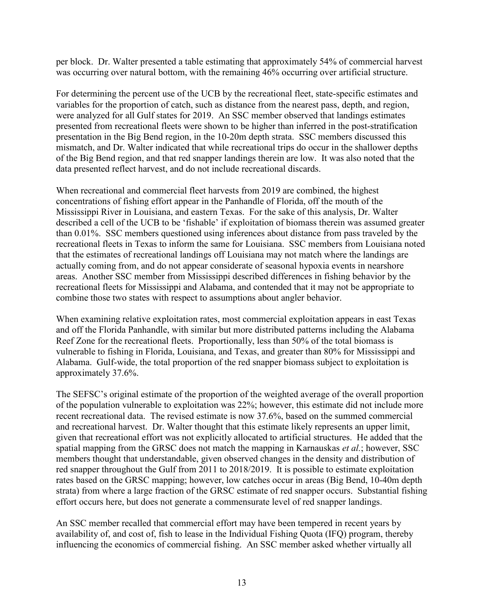per block. Dr. Walter presented a table estimating that approximately 54% of commercial harvest was occurring over natural bottom, with the remaining 46% occurring over artificial structure.

For determining the percent use of the UCB by the recreational fleet, state-specific estimates and variables for the proportion of catch, such as distance from the nearest pass, depth, and region, were analyzed for all Gulf states for 2019. An SSC member observed that landings estimates presented from recreational fleets were shown to be higher than inferred in the post-stratification presentation in the Big Bend region, in the 10-20m depth strata. SSC members discussed this mismatch, and Dr. Walter indicated that while recreational trips do occur in the shallower depths of the Big Bend region, and that red snapper landings therein are low. It was also noted that the data presented reflect harvest, and do not include recreational discards.

When recreational and commercial fleet harvests from 2019 are combined, the highest concentrations of fishing effort appear in the Panhandle of Florida, off the mouth of the Mississippi River in Louisiana, and eastern Texas. For the sake of this analysis, Dr. Walter described a cell of the UCB to be 'fishable' if exploitation of biomass therein was assumed greater than 0.01%. SSC members questioned using inferences about distance from pass traveled by the recreational fleets in Texas to inform the same for Louisiana. SSC members from Louisiana noted that the estimates of recreational landings off Louisiana may not match where the landings are actually coming from, and do not appear considerate of seasonal hypoxia events in nearshore areas. Another SSC member from Mississippi described differences in fishing behavior by the recreational fleets for Mississippi and Alabama, and contended that it may not be appropriate to combine those two states with respect to assumptions about angler behavior.

When examining relative exploitation rates, most commercial exploitation appears in east Texas and off the Florida Panhandle, with similar but more distributed patterns including the Alabama Reef Zone for the recreational fleets. Proportionally, less than 50% of the total biomass is vulnerable to fishing in Florida, Louisiana, and Texas, and greater than 80% for Mississippi and Alabama. Gulf-wide, the total proportion of the red snapper biomass subject to exploitation is approximately 37.6%.

The SEFSC's original estimate of the proportion of the weighted average of the overall proportion of the population vulnerable to exploitation was 22%; however, this estimate did not include more recent recreational data. The revised estimate is now 37.6%, based on the summed commercial and recreational harvest. Dr. Walter thought that this estimate likely represents an upper limit, given that recreational effort was not explicitly allocated to artificial structures. He added that the spatial mapping from the GRSC does not match the mapping in Karnauskas *et al.*; however, SSC members thought that understandable, given observed changes in the density and distribution of red snapper throughout the Gulf from 2011 to 2018/2019. It is possible to estimate exploitation rates based on the GRSC mapping; however, low catches occur in areas (Big Bend, 10-40m depth strata) from where a large fraction of the GRSC estimate of red snapper occurs. Substantial fishing effort occurs here, but does not generate a commensurate level of red snapper landings.

An SSC member recalled that commercial effort may have been tempered in recent years by availability of, and cost of, fish to lease in the Individual Fishing Quota (IFQ) program, thereby influencing the economics of commercial fishing. An SSC member asked whether virtually all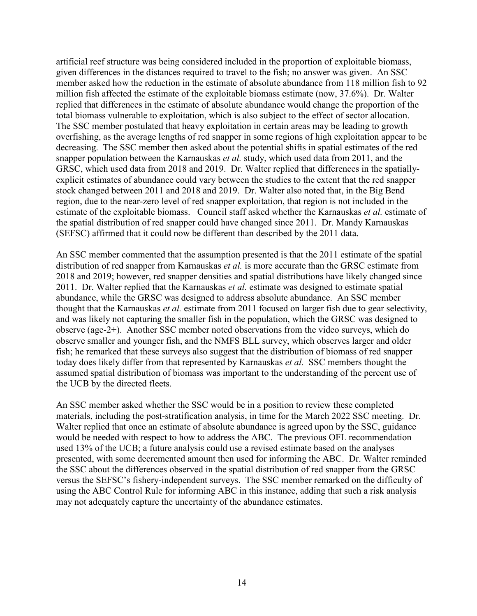artificial reef structure was being considered included in the proportion of exploitable biomass, given differences in the distances required to travel to the fish; no answer was given. An SSC member asked how the reduction in the estimate of absolute abundance from 118 million fish to 92 million fish affected the estimate of the exploitable biomass estimate (now, 37.6%). Dr. Walter replied that differences in the estimate of absolute abundance would change the proportion of the total biomass vulnerable to exploitation, which is also subject to the effect of sector allocation. The SSC member postulated that heavy exploitation in certain areas may be leading to growth overfishing, as the average lengths of red snapper in some regions of high exploitation appear to be decreasing. The SSC member then asked about the potential shifts in spatial estimates of the red snapper population between the Karnauskas *et al.* study, which used data from 2011, and the GRSC, which used data from 2018 and 2019. Dr. Walter replied that differences in the spatiallyexplicit estimates of abundance could vary between the studies to the extent that the red snapper stock changed between 2011 and 2018 and 2019. Dr. Walter also noted that, in the Big Bend region, due to the near-zero level of red snapper exploitation, that region is not included in the estimate of the exploitable biomass. Council staff asked whether the Karnauskas *et al.* estimate of the spatial distribution of red snapper could have changed since 2011. Dr. Mandy Karnauskas (SEFSC) affirmed that it could now be different than described by the 2011 data.

An SSC member commented that the assumption presented is that the 2011 estimate of the spatial distribution of red snapper from Karnauskas *et al.* is more accurate than the GRSC estimate from 2018 and 2019; however, red snapper densities and spatial distributions have likely changed since 2011. Dr. Walter replied that the Karnauskas *et al.* estimate was designed to estimate spatial abundance, while the GRSC was designed to address absolute abundance. An SSC member thought that the Karnauskas *et al.* estimate from 2011 focused on larger fish due to gear selectivity, and was likely not capturing the smaller fish in the population, which the GRSC was designed to observe (age-2+). Another SSC member noted observations from the video surveys, which do observe smaller and younger fish, and the NMFS BLL survey, which observes larger and older fish; he remarked that these surveys also suggest that the distribution of biomass of red snapper today does likely differ from that represented by Karnauskas *et al.* SSC members thought the assumed spatial distribution of biomass was important to the understanding of the percent use of the UCB by the directed fleets.

An SSC member asked whether the SSC would be in a position to review these completed materials, including the post-stratification analysis, in time for the March 2022 SSC meeting. Dr. Walter replied that once an estimate of absolute abundance is agreed upon by the SSC, guidance would be needed with respect to how to address the ABC. The previous OFL recommendation used 13% of the UCB; a future analysis could use a revised estimate based on the analyses presented, with some decremented amount then used for informing the ABC. Dr. Walter reminded the SSC about the differences observed in the spatial distribution of red snapper from the GRSC versus the SEFSC's fishery-independent surveys. The SSC member remarked on the difficulty of using the ABC Control Rule for informing ABC in this instance, adding that such a risk analysis may not adequately capture the uncertainty of the abundance estimates.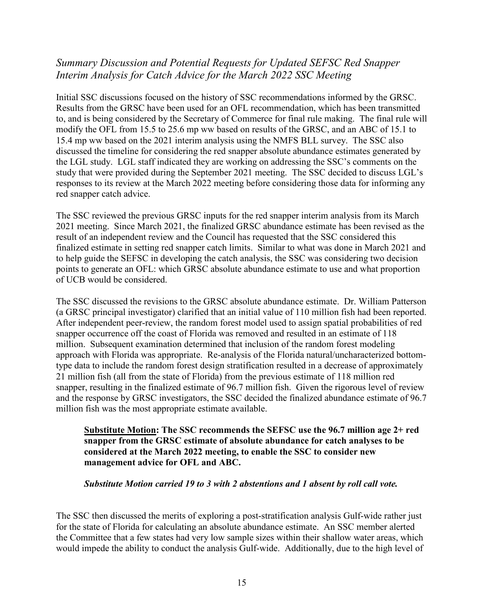# *Summary Discussion and Potential Requests for Updated SEFSC Red Snapper Interim Analysis for Catch Advice for the March 2022 SSC Meeting*

Initial SSC discussions focused on the history of SSC recommendations informed by the GRSC. Results from the GRSC have been used for an OFL recommendation, which has been transmitted to, and is being considered by the Secretary of Commerce for final rule making. The final rule will modify the OFL from 15.5 to 25.6 mp ww based on results of the GRSC, and an ABC of 15.1 to 15.4 mp ww based on the 2021 interim analysis using the NMFS BLL survey. The SSC also discussed the timeline for considering the red snapper absolute abundance estimates generated by the LGL study. LGL staff indicated they are working on addressing the SSC's comments on the study that were provided during the September 2021 meeting. The SSC decided to discuss LGL's responses to its review at the March 2022 meeting before considering those data for informing any red snapper catch advice.

The SSC reviewed the previous GRSC inputs for the red snapper interim analysis from its March 2021 meeting. Since March 2021, the finalized GRSC abundance estimate has been revised as the result of an independent review and the Council has requested that the SSC considered this finalized estimate in setting red snapper catch limits. Similar to what was done in March 2021 and to help guide the SEFSC in developing the catch analysis, the SSC was considering two decision points to generate an OFL: which GRSC absolute abundance estimate to use and what proportion of UCB would be considered.

The SSC discussed the revisions to the GRSC absolute abundance estimate. Dr. William Patterson (a GRSC principal investigator) clarified that an initial value of 110 million fish had been reported. After independent peer-review, the random forest model used to assign spatial probabilities of red snapper occurrence off the coast of Florida was removed and resulted in an estimate of 118 million. Subsequent examination determined that inclusion of the random forest modeling approach with Florida was appropriate. Re-analysis of the Florida natural/uncharacterized bottomtype data to include the random forest design stratification resulted in a decrease of approximately 21 million fish (all from the state of Florida) from the previous estimate of 118 million red snapper, resulting in the finalized estimate of 96.7 million fish. Given the rigorous level of review and the response by GRSC investigators, the SSC decided the finalized abundance estimate of 96.7 million fish was the most appropriate estimate available.

#### **Substitute Motion: The SSC recommends the SEFSC use the 96.7 million age 2+ red snapper from the GRSC estimate of absolute abundance for catch analyses to be considered at the March 2022 meeting, to enable the SSC to consider new management advice for OFL and ABC.**

#### *Substitute Motion carried 19 to 3 with 2 abstentions and 1 absent by roll call vote.*

The SSC then discussed the merits of exploring a post-stratification analysis Gulf-wide rather just for the state of Florida for calculating an absolute abundance estimate. An SSC member alerted the Committee that a few states had very low sample sizes within their shallow water areas, which would impede the ability to conduct the analysis Gulf-wide. Additionally, due to the high level of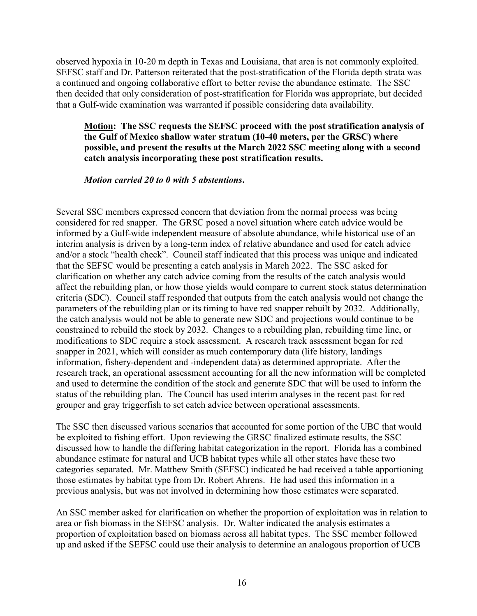observed hypoxia in 10-20 m depth in Texas and Louisiana, that area is not commonly exploited. SEFSC staff and Dr. Patterson reiterated that the post-stratification of the Florida depth strata was a continued and ongoing collaborative effort to better revise the abundance estimate. The SSC then decided that only consideration of post-stratification for Florida was appropriate, but decided that a Gulf-wide examination was warranted if possible considering data availability.

#### **Motion: The SSC requests the SEFSC proceed with the post stratification analysis of the Gulf of Mexico shallow water stratum (10-40 meters, per the GRSC) where possible, and present the results at the March 2022 SSC meeting along with a second catch analysis incorporating these post stratification results.**

#### *Motion carried 20 to 0 with 5 abstentions***.**

Several SSC members expressed concern that deviation from the normal process was being considered for red snapper. The GRSC posed a novel situation where catch advice would be informed by a Gulf-wide independent measure of absolute abundance, while historical use of an interim analysis is driven by a long-term index of relative abundance and used for catch advice and/or a stock "health check". Council staff indicated that this process was unique and indicated that the SEFSC would be presenting a catch analysis in March 2022. The SSC asked for clarification on whether any catch advice coming from the results of the catch analysis would affect the rebuilding plan, or how those yields would compare to current stock status determination criteria (SDC). Council staff responded that outputs from the catch analysis would not change the parameters of the rebuilding plan or its timing to have red snapper rebuilt by 2032. Additionally, the catch analysis would not be able to generate new SDC and projections would continue to be constrained to rebuild the stock by 2032. Changes to a rebuilding plan, rebuilding time line, or modifications to SDC require a stock assessment. A research track assessment began for red snapper in 2021, which will consider as much contemporary data (life history, landings information, fishery-dependent and -independent data) as determined appropriate. After the research track, an operational assessment accounting for all the new information will be completed and used to determine the condition of the stock and generate SDC that will be used to inform the status of the rebuilding plan. The Council has used interim analyses in the recent past for red grouper and gray triggerfish to set catch advice between operational assessments.

The SSC then discussed various scenarios that accounted for some portion of the UBC that would be exploited to fishing effort. Upon reviewing the GRSC finalized estimate results, the SSC discussed how to handle the differing habitat categorization in the report. Florida has a combined abundance estimate for natural and UCB habitat types while all other states have these two categories separated. Mr. Matthew Smith (SEFSC) indicated he had received a table apportioning those estimates by habitat type from Dr. Robert Ahrens. He had used this information in a previous analysis, but was not involved in determining how those estimates were separated.

An SSC member asked for clarification on whether the proportion of exploitation was in relation to area or fish biomass in the SEFSC analysis. Dr. Walter indicated the analysis estimates a proportion of exploitation based on biomass across all habitat types. The SSC member followed up and asked if the SEFSC could use their analysis to determine an analogous proportion of UCB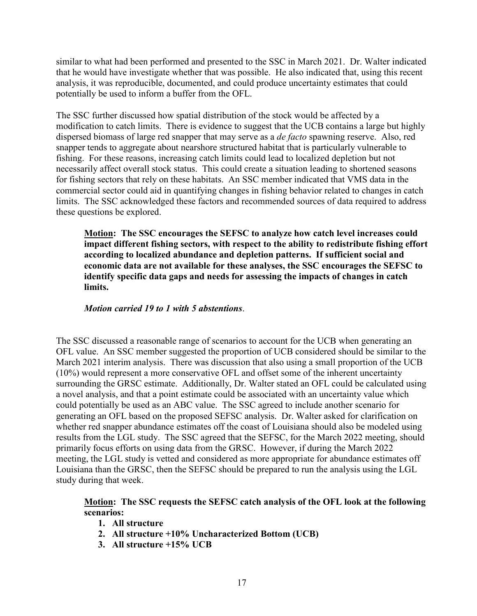similar to what had been performed and presented to the SSC in March 2021. Dr. Walter indicated that he would have investigate whether that was possible. He also indicated that, using this recent analysis, it was reproducible, documented, and could produce uncertainty estimates that could potentially be used to inform a buffer from the OFL.

The SSC further discussed how spatial distribution of the stock would be affected by a modification to catch limits. There is evidence to suggest that the UCB contains a large but highly dispersed biomass of large red snapper that may serve as a *de facto* spawning reserve. Also, red snapper tends to aggregate about nearshore structured habitat that is particularly vulnerable to fishing. For these reasons, increasing catch limits could lead to localized depletion but not necessarily affect overall stock status. This could create a situation leading to shortened seasons for fishing sectors that rely on these habitats. An SSC member indicated that VMS data in the commercial sector could aid in quantifying changes in fishing behavior related to changes in catch limits. The SSC acknowledged these factors and recommended sources of data required to address these questions be explored.

**Motion: The SSC encourages the SEFSC to analyze how catch level increases could impact different fishing sectors, with respect to the ability to redistribute fishing effort according to localized abundance and depletion patterns. If sufficient social and economic data are not available for these analyses, the SSC encourages the SEFSC to identify specific data gaps and needs for assessing the impacts of changes in catch limits.**

#### *Motion carried 19 to 1 with 5 abstentions*.

The SSC discussed a reasonable range of scenarios to account for the UCB when generating an OFL value. An SSC member suggested the proportion of UCB considered should be similar to the March 2021 interim analysis. There was discussion that also using a small proportion of the UCB (10%) would represent a more conservative OFL and offset some of the inherent uncertainty surrounding the GRSC estimate. Additionally, Dr. Walter stated an OFL could be calculated using a novel analysis, and that a point estimate could be associated with an uncertainty value which could potentially be used as an ABC value. The SSC agreed to include another scenario for generating an OFL based on the proposed SEFSC analysis. Dr. Walter asked for clarification on whether red snapper abundance estimates off the coast of Louisiana should also be modeled using results from the LGL study. The SSC agreed that the SEFSC, for the March 2022 meeting, should primarily focus efforts on using data from the GRSC. However, if during the March 2022 meeting, the LGL study is vetted and considered as more appropriate for abundance estimates off Louisiana than the GRSC, then the SEFSC should be prepared to run the analysis using the LGL study during that week.

#### **Motion: The SSC requests the SEFSC catch analysis of the OFL look at the following scenarios:**

- **1. All structure**
- **2. All structure +10% Uncharacterized Bottom (UCB)**
- **3. All structure +15% UCB**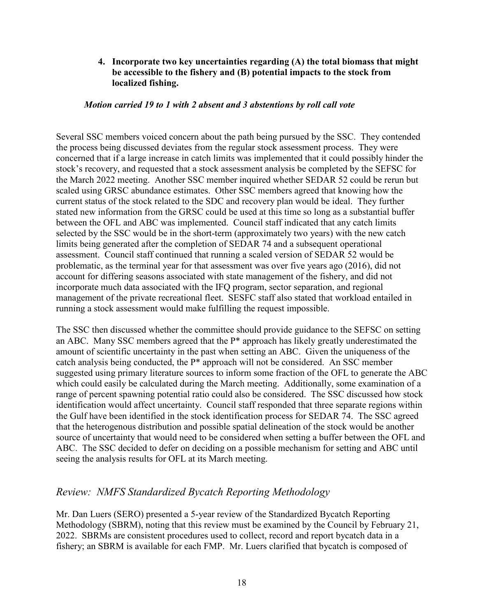### **4. Incorporate two key uncertainties regarding (A) the total biomass that might be accessible to the fishery and (B) potential impacts to the stock from localized fishing.**

#### *Motion carried 19 to 1 with 2 absent and 3 abstentions by roll call vote*

Several SSC members voiced concern about the path being pursued by the SSC. They contended the process being discussed deviates from the regular stock assessment process. They were concerned that if a large increase in catch limits was implemented that it could possibly hinder the stock's recovery, and requested that a stock assessment analysis be completed by the SEFSC for the March 2022 meeting. Another SSC member inquired whether SEDAR 52 could be rerun but scaled using GRSC abundance estimates. Other SSC members agreed that knowing how the current status of the stock related to the SDC and recovery plan would be ideal. They further stated new information from the GRSC could be used at this time so long as a substantial buffer between the OFL and ABC was implemented. Council staff indicated that any catch limits selected by the SSC would be in the short-term (approximately two years) with the new catch limits being generated after the completion of SEDAR 74 and a subsequent operational assessment. Council staff continued that running a scaled version of SEDAR 52 would be problematic, as the terminal year for that assessment was over five years ago (2016), did not account for differing seasons associated with state management of the fishery, and did not incorporate much data associated with the IFQ program, sector separation, and regional management of the private recreational fleet. SESFC staff also stated that workload entailed in running a stock assessment would make fulfilling the request impossible.

The SSC then discussed whether the committee should provide guidance to the SEFSC on setting an ABC. Many SSC members agreed that the P\* approach has likely greatly underestimated the amount of scientific uncertainty in the past when setting an ABC. Given the uniqueness of the catch analysis being conducted, the P\* approach will not be considered. An SSC member suggested using primary literature sources to inform some fraction of the OFL to generate the ABC which could easily be calculated during the March meeting. Additionally, some examination of a range of percent spawning potential ratio could also be considered. The SSC discussed how stock identification would affect uncertainty. Council staff responded that three separate regions within the Gulf have been identified in the stock identification process for SEDAR 74. The SSC agreed that the heterogenous distribution and possible spatial delineation of the stock would be another source of uncertainty that would need to be considered when setting a buffer between the OFL and ABC. The SSC decided to defer on deciding on a possible mechanism for setting and ABC until seeing the analysis results for OFL at its March meeting.

## *Review: NMFS Standardized Bycatch Reporting Methodology*

Mr. Dan Luers (SERO) presented a 5-year review of the Standardized Bycatch Reporting Methodology (SBRM), noting that this review must be examined by the Council by February 21, 2022. SBRMs are consistent procedures used to collect, record and report bycatch data in a fishery; an SBRM is available for each FMP. Mr. Luers clarified that bycatch is composed of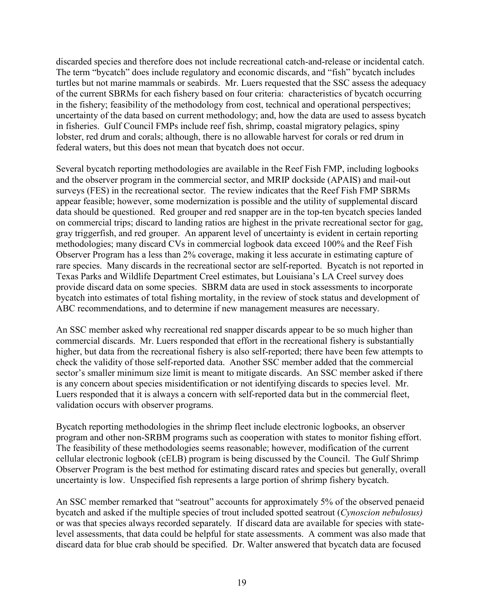discarded species and therefore does not include recreational catch-and-release or incidental catch. The term "bycatch" does include regulatory and economic discards, and "fish" bycatch includes turtles but not marine mammals or seabirds. Mr. Luers requested that the SSC assess the adequacy of the current SBRMs for each fishery based on four criteria: characteristics of bycatch occurring in the fishery; feasibility of the methodology from cost, technical and operational perspectives; uncertainty of the data based on current methodology; and, how the data are used to assess bycatch in fisheries. Gulf Council FMPs include reef fish, shrimp, coastal migratory pelagics, spiny lobster, red drum and corals; although, there is no allowable harvest for corals or red drum in federal waters, but this does not mean that bycatch does not occur.

Several bycatch reporting methodologies are available in the Reef Fish FMP, including logbooks and the observer program in the commercial sector, and MRIP dockside (APAIS) and mail-out surveys (FES) in the recreational sector. The review indicates that the Reef Fish FMP SBRMs appear feasible; however, some modernization is possible and the utility of supplemental discard data should be questioned. Red grouper and red snapper are in the top-ten bycatch species landed on commercial trips; discard to landing ratios are highest in the private recreational sector for gag, gray triggerfish, and red grouper. An apparent level of uncertainty is evident in certain reporting methodologies; many discard CVs in commercial logbook data exceed 100% and the Reef Fish Observer Program has a less than 2% coverage, making it less accurate in estimating capture of rare species. Many discards in the recreational sector are self-reported. Bycatch is not reported in Texas Parks and Wildlife Department Creel estimates, but Louisiana's LA Creel survey does provide discard data on some species. SBRM data are used in stock assessments to incorporate bycatch into estimates of total fishing mortality, in the review of stock status and development of ABC recommendations, and to determine if new management measures are necessary.

An SSC member asked why recreational red snapper discards appear to be so much higher than commercial discards. Mr. Luers responded that effort in the recreational fishery is substantially higher, but data from the recreational fishery is also self-reported; there have been few attempts to check the validity of those self-reported data. Another SSC member added that the commercial sector's smaller minimum size limit is meant to mitigate discards. An SSC member asked if there is any concern about species misidentification or not identifying discards to species level. Mr. Luers responded that it is always a concern with self-reported data but in the commercial fleet, validation occurs with observer programs.

Bycatch reporting methodologies in the shrimp fleet include electronic logbooks, an observer program and other non-SRBM programs such as cooperation with states to monitor fishing effort. The feasibility of these methodologies seems reasonable; however, modification of the current cellular electronic logbook (cELB) program is being discussed by the Council. The Gulf Shrimp Observer Program is the best method for estimating discard rates and species but generally, overall uncertainty is low. Unspecified fish represents a large portion of shrimp fishery bycatch.

An SSC member remarked that "seatrout" accounts for approximately 5% of the observed penaeid bycatch and asked if the multiple species of trout included spotted seatrout (*Cynoscion nebulosus)* or was that species always recorded separately*.* If discard data are available for species with statelevel assessments, that data could be helpful for state assessments. A comment was also made that discard data for blue crab should be specified. Dr. Walter answered that bycatch data are focused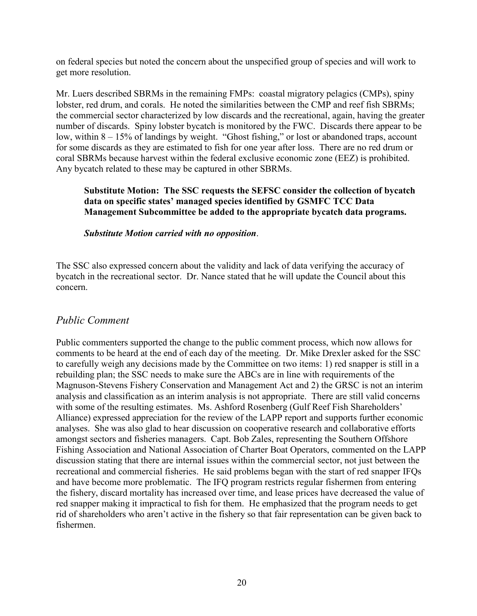on federal species but noted the concern about the unspecified group of species and will work to get more resolution.

Mr. Luers described SBRMs in the remaining FMPs: coastal migratory pelagics (CMPs), spiny lobster, red drum, and corals. He noted the similarities between the CMP and reef fish SBRMs; the commercial sector characterized by low discards and the recreational, again, having the greater number of discards. Spiny lobster bycatch is monitored by the FWC. Discards there appear to be low, within 8 – 15% of landings by weight. "Ghost fishing," or lost or abandoned traps, account for some discards as they are estimated to fish for one year after loss. There are no red drum or coral SBRMs because harvest within the federal exclusive economic zone (EEZ) is prohibited. Any bycatch related to these may be captured in other SBRMs.

#### **Substitute Motion: The SSC requests the SEFSC consider the collection of bycatch data on specific states' managed species identified by GSMFC TCC Data Management Subcommittee be added to the appropriate bycatch data programs.**

*Substitute Motion carried with no opposition*.

The SSC also expressed concern about the validity and lack of data verifying the accuracy of bycatch in the recreational sector. Dr. Nance stated that he will update the Council about this concern.

## *Public Comment*

Public commenters supported the change to the public comment process, which now allows for comments to be heard at the end of each day of the meeting. Dr. Mike Drexler asked for the SSC to carefully weigh any decisions made by the Committee on two items: 1) red snapper is still in a rebuilding plan; the SSC needs to make sure the ABCs are in line with requirements of the Magnuson-Stevens Fishery Conservation and Management Act and 2) the GRSC is not an interim analysis and classification as an interim analysis is not appropriate. There are still valid concerns with some of the resulting estimates. Ms. Ashford Rosenberg (Gulf Reef Fish Shareholders' Alliance) expressed appreciation for the review of the LAPP report and supports further economic analyses. She was also glad to hear discussion on cooperative research and collaborative efforts amongst sectors and fisheries managers. Capt. Bob Zales, representing the Southern Offshore Fishing Association and National Association of Charter Boat Operators, commented on the LAPP discussion stating that there are internal issues within the commercial sector, not just between the recreational and commercial fisheries. He said problems began with the start of red snapper IFQs and have become more problematic. The IFQ program restricts regular fishermen from entering the fishery, discard mortality has increased over time, and lease prices have decreased the value of red snapper making it impractical to fish for them. He emphasized that the program needs to get rid of shareholders who aren't active in the fishery so that fair representation can be given back to fishermen.